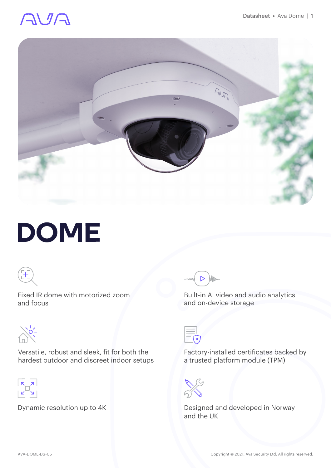# AVA



# **DOME**



Fixed IR dome with motorized zoom and focus



Versatile, robust and sleek, fit for both the hardest outdoor and discreet indoor setups



Dynamic resolution up to 4K



Built-in AI video and audio analytics and on-device storage



Factory-installed certificates backed by a trusted platform module (TPM)



Designed and developed in Norway and the UK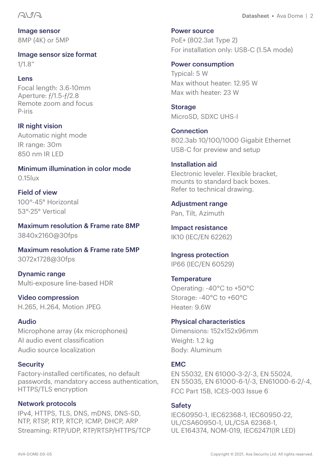#### AVA

Image sensor 8MP (4K) or 5MP

Image sensor size format 1/1.8"

#### Lens

Focal length: 3.6-10mm Aperture: ƒ/1.5-ƒ/2.8 Remote zoom and focus P-iris

IR night vision Automatic night mode IR range: 30m 850 nm IR LED

Minimum illumination in color mode 0.15lux

Field of view 100°-45° Horizontal 53°-25° Vertical

Maximum resolution & Frame rate 8MP 3840x2160@30fps

Maximum resolution & Frame rate 5MP 3072x1728@30fps

Dynamic range Multi-exposure line-based HDR

Video compression H.265, H.264, Motion JPEG

#### Audio

Microphone array (4x microphones) AI audio event classification Audio source localization

#### **Security**

Factory-installed certificates, no default passwords, mandatory access authentication, HTTPS/TLS encryption

#### Network protocols

IPv4, HTTPS, TLS, DNS, mDNS, DNS-SD, NTP, RTSP, RTP, RTCP, ICMP, DHCP, ARP Streaming: RTP/UDP, RTP/RTSP/HTTPS/TCP Datasheet **•** Ava Dome | 2

Power source

PoE+ (802.3at Type 2) For installation only: USB-C (1.5A mode)

#### Power consumption

Typical: 5 W Max without heater: 12.95 W Max with heater: 23 W

Storage MicroSD, SDXC UHS-I

**Connection** 802.3ab 10/100/1000 Gigabit Ethernet USB-C for preview and setup

#### Installation aid

Electronic leveler. Flexible bracket, mounts to standard back boxes. Refer to technical drawing.

Adjustment range Pan, Tilt, Azimuth

Impact resistance IK10 (IEC/EN 62262)

Ingress protection IP66 (IEC/EN 60529)

**Temperature** Operating: -40°C to +50°C Storage: -40°C to +60°C Heater: 9.6W

#### Physical characteristics

Dimensions: 152x152x96mm Weight: 1.2 kg Body: Aluminum

#### **EMC**

EN 55032, EN 61000-3-2/-3, EN 55024, EN 55035, EN 61000-6-1/-3, EN61000-6-2/-4, FCC Part 15B, ICES-003 Issue 6

#### **Safety**

IEC60950-1, IEC62368-1, IEC60950-22, UL/CSA60950-1, UL/CSA 62368-1, UL E164374, NOM-019, IEC62471(IR LED)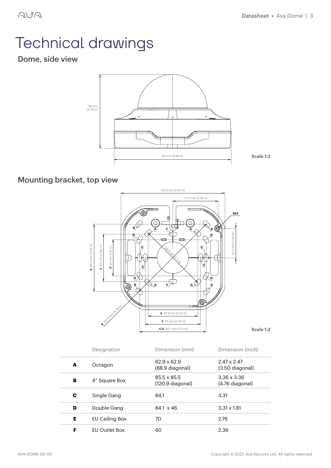# Technical drawings

### Dome, side view



### Mounting bracket, top view



|   | Designation          | Dimension (mm)                  | Dimension (inch)                      |
|---|----------------------|---------------------------------|---------------------------------------|
| A | Octagon              | 62.9 x 62.9<br>(88.9 diagonal)  | $2.47 \times 2.47$<br>(3.50 diagonal) |
| в | 4" Square Box        | 85.5 x 85.5<br>(120.9 diagonal) | $3.36 \times 3.36$<br>(4.76 diagonal) |
| С | Single Gang          | 84.1                            | 3.31                                  |
| D | Double Gang          | 84.1 x 46                       | $3.31 \times 1.81$                    |
| Е | EU Ceiling Box       | 70                              | 2.76                                  |
| F | <b>FU Outlet Box</b> | 60                              | 2.36                                  |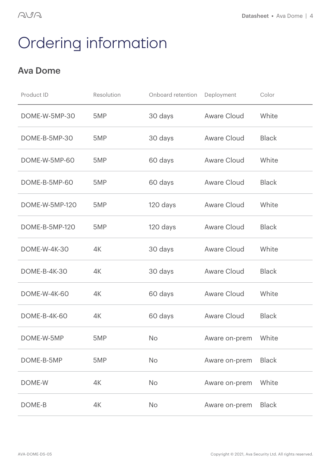## Ordering information

### Ava Dome

| Product ID          | Resolution | Onboard retention | Deployment    | Color        |
|---------------------|------------|-------------------|---------------|--------------|
| DOME-W-5MP-30       | 5MP        | 30 days           | Aware Cloud   | White        |
| DOME-B-5MP-30       | 5MP        | 30 days           | Aware Cloud   | <b>Black</b> |
| DOME-W-5MP-60       | 5MP        | 60 days           | Aware Cloud   | White        |
| DOME-B-5MP-60       | 5MP        | 60 days           | Aware Cloud   | <b>Black</b> |
| DOME-W-5MP-120      | 5MP        | 120 days          | Aware Cloud   | White        |
| DOME-B-5MP-120      | 5MP        | 120 days          | Aware Cloud   | <b>Black</b> |
| <b>DOME-W-4K-30</b> | 4K         | 30 days           | Aware Cloud   | White        |
| <b>DOME-B-4K-30</b> | 4K         | 30 days           | Aware Cloud   | <b>Black</b> |
| <b>DOME-W-4K-60</b> | 4K         | 60 days           | Aware Cloud   | White        |
| DOME-B-4K-60        | 4K         | 60 days           | Aware Cloud   | <b>Black</b> |
| DOME-W-5MP          | 5MP        | No.               | Aware on-prem | White        |
| DOME-B-5MP          | 5MP        | No                | Aware on-prem | <b>Black</b> |
| DOME-W              | 4K         | No                | Aware on-prem | White        |
| DOME-B              | 4K         | No                | Aware on-prem | <b>Black</b> |